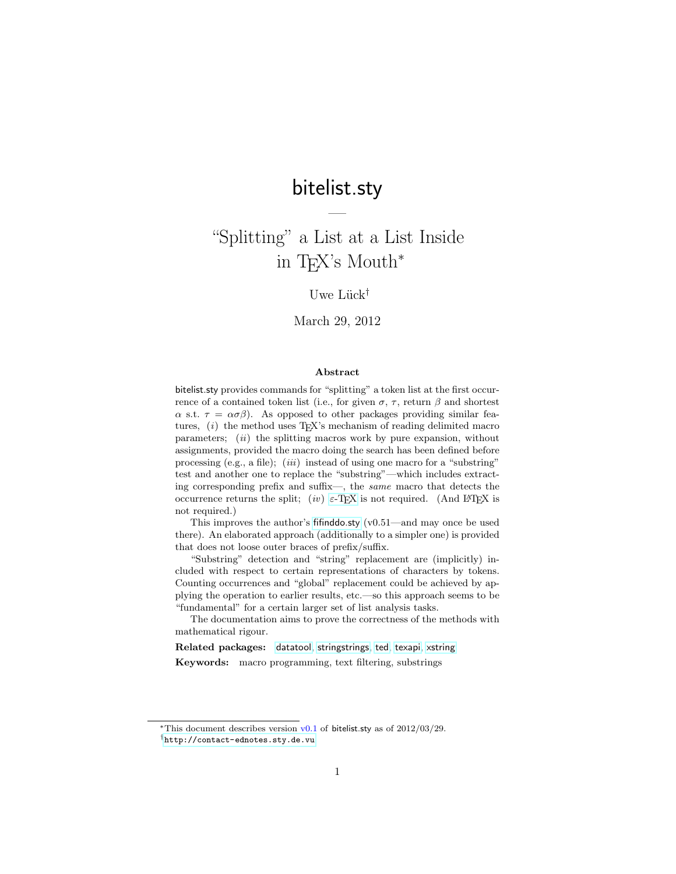# bitelist.sty

—

# "Splitting" a List at a List Inside in TEX's Mouth<sup>∗</sup>

# Uwe Lück<sup>†</sup>

March 29, 2012

#### Abstract

bitelist.sty provides commands for "splitting" a token list at the first occurrence of a contained token list (i.e., for given  $\sigma$ ,  $\tau$ , return  $\beta$  and shortest  $\alpha$  s.t.  $\tau = \alpha \sigma \beta$ . As opposed to other packages providing similar features,  $(i)$  the method uses T<sub>E</sub>X's mechanism of reading delimited macro parameters;  $(ii)$  the splitting macros work by pure expansion, without assignments, provided the macro doing the search has been defined before processing (e.g., a file); (*iii*) instead of using one macro for a "substring" test and another one to replace the "substring"—which includes extracting corresponding prefix and suffix—, the same macro that detects the occurrence returns the split; (iv)  $\varepsilon$ -T<sub>E</sub>X is not required. (And L<sup>A</sup>T<sub>E</sub>X is not required.)

This improves the author's [fifinddo.sty](http://ctan.org/pkg/fifinddo) (v0.51—and may once be used there). An elaborated approach (additionally to a simpler one) is provided that does not loose outer braces of prefix/suffix.

"Substring" detection and "string" replacement are (implicitly) included with respect to certain representations of characters by tokens. Counting occurrences and "global" replacement could be achieved by applying the operation to earlier results, etc.—so this approach seems to be "fundamental" for a certain larger set of list analysis tasks.

The documentation aims to prove the correctness of the methods with mathematical rigour.

Related packages: [datatool](http://ctan.org/pkg/datatool), [stringstrings](http://ctan.org/pkg/stringstrings), [ted](http://ctan.org/pkg/ted), [texapi](http://ctan.org/pkg/texapi), [xstring](http://ctan.org/pkg/xstring)

Keywords: macro programming, text filtering, substrings

<sup>\*</sup>This document describes version  $v0.1$  of bitelist.sty as of  $2012/03/29$ .

<sup>†</sup><http://contact-ednotes.sty.de.vu>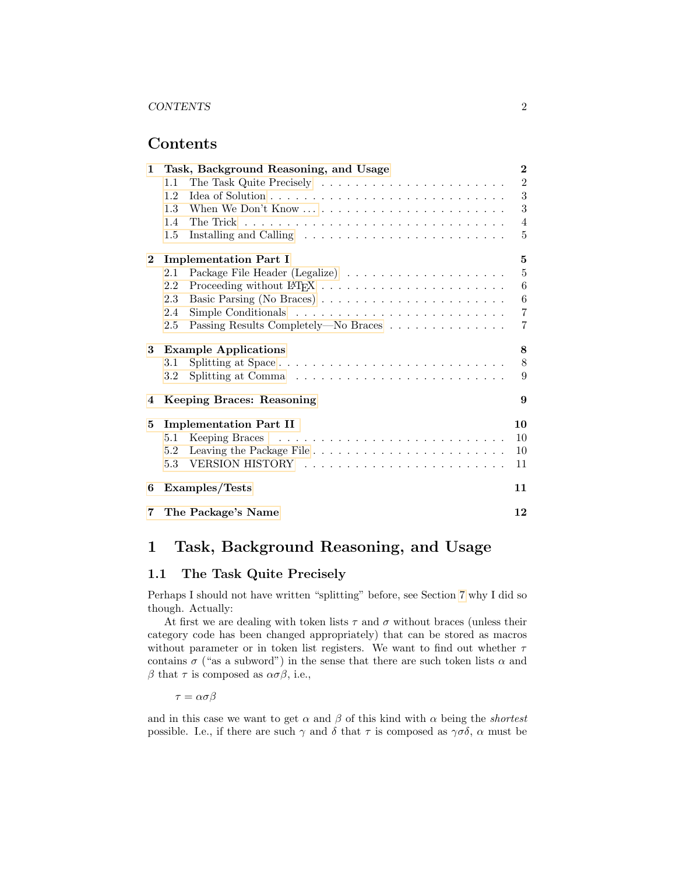# Contents

| $\mathbf{1}$ | Task, Background Reasoning, and Usage       |                |  |  |  |
|--------------|---------------------------------------------|----------------|--|--|--|
|              | 1.1                                         | $\overline{2}$ |  |  |  |
|              | 1.2                                         | 3              |  |  |  |
|              | 1.3                                         | 3              |  |  |  |
|              | 1.4                                         | $\overline{4}$ |  |  |  |
|              | $1.5\,$                                     | 5              |  |  |  |
| $\mathbf{2}$ | <b>Implementation Part I</b>                | 5              |  |  |  |
|              | 2.1                                         | $\overline{5}$ |  |  |  |
|              | 2.2                                         | 6              |  |  |  |
|              | 2.3                                         | 6              |  |  |  |
|              | 2.4                                         | $\overline{7}$ |  |  |  |
|              | Passing Results Completely—No Braces<br>2.5 | $\overline{7}$ |  |  |  |
| 3            | <b>Example Applications</b>                 | 8              |  |  |  |
|              | Splitting at Space<br>3.1                   | 8              |  |  |  |
|              | $3.2\,$                                     | 9              |  |  |  |
| 4            | Keeping Braces: Reasoning                   |                |  |  |  |
| 5            | <b>Implementation Part II</b>               | 10             |  |  |  |
|              | 5.1                                         | <sup>10</sup>  |  |  |  |
|              |                                             | 10             |  |  |  |
|              | $5.3^{\circ}$                               | 11             |  |  |  |
| 6            | Examples/Tests                              | 11             |  |  |  |
| $7\degree$   | The Package's Name                          | 12             |  |  |  |

# <span id="page-1-0"></span>1 Task, Background Reasoning, and Usage

# <span id="page-1-1"></span>1.1 The Task Quite Precisely

Perhaps I should not have written "splitting" before, see Section [7](#page-11-0) why I did so though. Actually:

At first we are dealing with token lists  $\tau$  and  $\sigma$  without braces (unless their category code has been changed appropriately) that can be stored as macros without parameter or in token list registers. We want to find out whether  $\tau$ contains  $\sigma$  ("as a subword") in the sense that there are such token lists  $\alpha$  and β that  $\tau$  is composed as  $\alpha \sigma \beta$ , i.e.,

 $\tau = \alpha \sigma \beta$ 

and in this case we want to get  $\alpha$  and  $\beta$  of this kind with  $\alpha$  being the *shortest* possible. I.e., if there are such  $\gamma$  and  $\delta$  that  $\tau$  is composed as  $\gamma\sigma\delta$ ,  $\alpha$  must be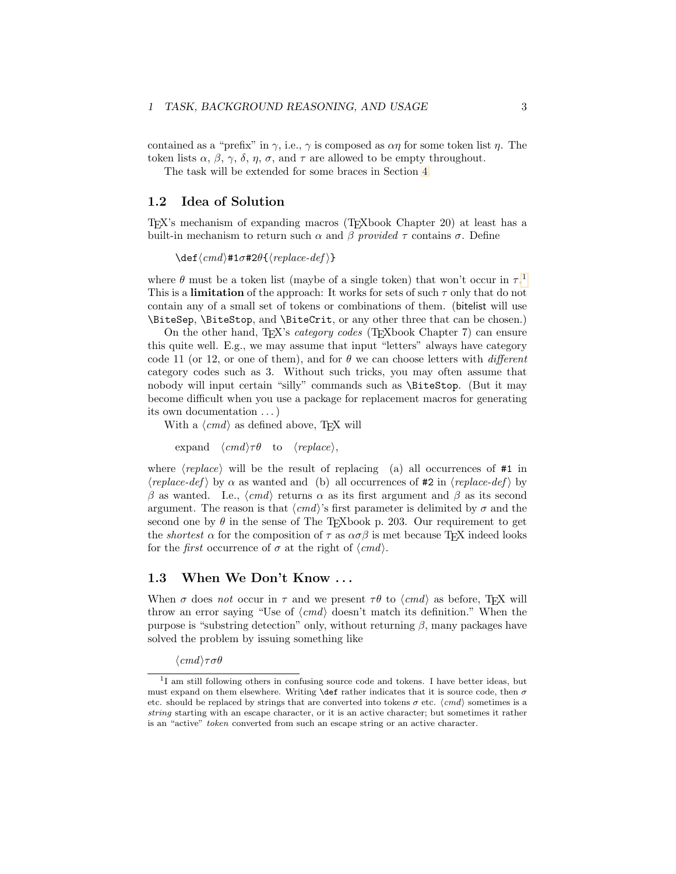contained as a "prefix" in  $\gamma$ , i.e.,  $\gamma$  is composed as  $\alpha\eta$  for some token list  $\eta$ . The token lists  $\alpha$ ,  $\beta$ ,  $\gamma$ ,  $\delta$ ,  $\eta$ ,  $\sigma$ , and  $\tau$  are allowed to be empty throughout.

The task will be extended for some braces in Section [4.](#page-8-1)

#### <span id="page-2-0"></span>1.2 Idea of Solution

TEX's mechanism of expanding macros (TEXbook Chapter 20) at least has a built-in mechanism to return such  $\alpha$  and  $\beta$  provided  $\tau$  contains  $\sigma$ . Define

 $\det\langle cmd \rangle$ #1 $\sigma$ #2θ{ $\langle replace-def \rangle$ }

where  $\theta$  must be a token list (maybe of a single token) that won't occur in  $\tau$ .<sup>[1](#page-2-2)</sup> This is a **limitation** of the approach: It works for sets of such  $\tau$  only that do not contain any of a small set of tokens or combinations of them. (bitelist will use \BiteSep, \BiteStop, and \BiteCrit, or any other three that can be chosen.)

On the other hand, TEX's *category codes* (TEXbook Chapter 7) can ensure this quite well. E.g., we may assume that input "letters" always have category code 11 (or 12, or one of them), and for  $\theta$  we can choose letters with *different* category codes such as 3. Without such tricks, you may often assume that nobody will input certain "silly" commands such as \BiteStop. (But it may become difficult when you use a package for replacement macros for generating its own documentation . . . )

With a  $\langle cmd \rangle$  as defined above, TEX will

expand  $\langle cmd \rangle \tau \theta$  to  $\langle replace \rangle$ ,

where  $\langle replace \rangle$  will be the result of replacing (a) all occurrences of #1 in  $\langle replace-def \rangle$  by  $\alpha$  as wanted and (b) all occurrences of #2 in  $\langle replace-def \rangle$  by β as wanted. I.e.,  $\langle cmd \rangle$  returns α as its first argument and β as its second argument. The reason is that  $\langle cmd \rangle$ 's first parameter is delimited by  $\sigma$  and the second one by  $\theta$  in the sense of The T<sub>E</sub>Xbook p. 203. Our requirement to get the *shortest*  $\alpha$  for the composition of  $\tau$  as  $\alpha \sigma \beta$  is met because T<sub>E</sub>X indeed looks for the *first* occurrence of  $\sigma$  at the right of  $\langle cmd \rangle$ .

### <span id="page-2-1"></span>1.3 When We Don't Know . . .

When  $\sigma$  does not occur in  $\tau$  and we present  $\tau\theta$  to  $\langle cmd \rangle$  as before, TEX will throw an error saying "Use of  $\langle cmd \rangle$  doesn't match its definition." When the purpose is "substring detection" only, without returning  $\beta$ , many packages have solved the problem by issuing something like

 $\langle cmd \rangle \tau \sigma \theta$ 

<span id="page-2-2"></span><sup>&</sup>lt;sup>1</sup>I am still following others in confusing source code and tokens. I have better ideas, but must expand on them elsewhere. Writing **\def** rather indicates that it is source code, then  $\sigma$ etc. should be replaced by strings that are converted into tokens  $\sigma$  etc.  $\langle c \rangle$  sometimes is a string starting with an escape character, or it is an active character; but sometimes it rather is an "active" token converted from such an escape string or an active character.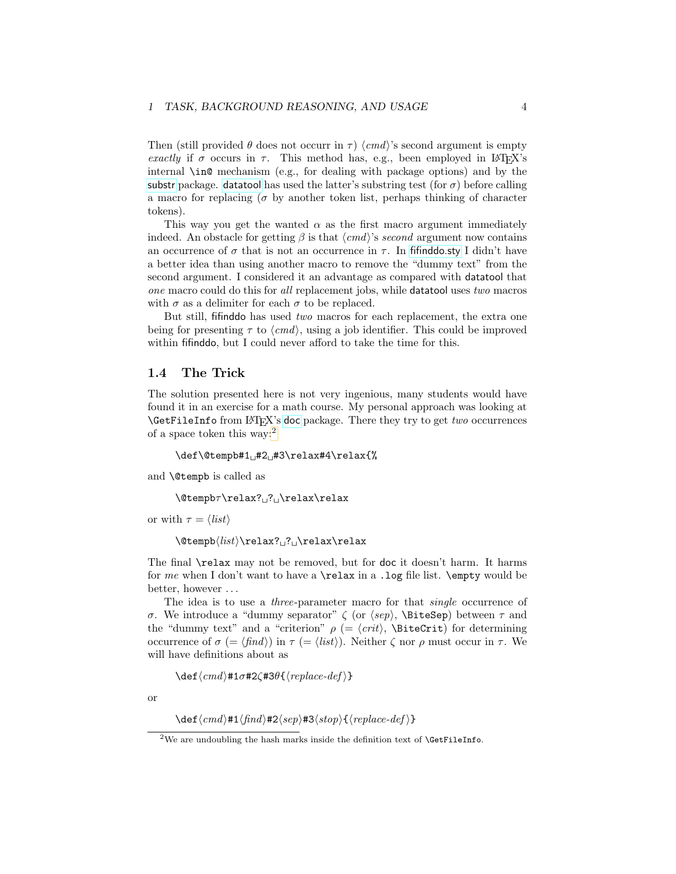Then (still provided  $\theta$  does not occurr in  $\tau$ )  $\langle c \rangle$ 's second argument is empty exactly if  $\sigma$  occurs in  $\tau$ . This method has, e.g., been employed in LAT<sub>E</sub>X's internal \in@ mechanism (e.g., for dealing with package options) and by the [substr](http://ctan.org/pkg/substr) package. [datatool](http://ctan.org/pkg/datatool) has used the latter's substring test (for  $\sigma$ ) before calling a macro for replacing ( $\sigma$  by another token list, perhaps thinking of character tokens).

This way you get the wanted  $\alpha$  as the first macro argument immediately indeed. An obstacle for getting  $\beta$  is that  $\langle cmd \rangle$ 's second argument now contains an occurrence of  $\sigma$  that is not an occurrence in  $\tau$ . In fifind do.sty I didn't have a better idea than using another macro to remove the "dummy text" from the second argument. I considered it an advantage as compared with datatool that one macro could do this for all replacement jobs, while datatool uses two macros with  $\sigma$  as a delimiter for each  $\sigma$  to be replaced.

But still, fifinddo has used two macros for each replacement, the extra one being for presenting  $\tau$  to  $\langle cmd \rangle$ , using a job identifier. This could be improved within fifind to, but I could never afford to take the time for this.

#### <span id="page-3-0"></span>1.4 The Trick

The solution presented here is not very ingenious, many students would have found it in an exercise for a math course. My personal approach was looking at \GetFileInfo from LATEX's [doc](http://ctan.org/pkg/doc) package. There they try to get two occurrences of a space token this way:[2](#page-3-1)

 $\def\{\theta*1_{H^2_1}\rightarrow\relax#4\relax{}f\$ 

and \@tempb is called as

 $\text{C}$ 

or with  $\tau = \langle list \rangle$ 

 $\text{C}$ 

The final \relax may not be removed, but for doc it doesn't harm. It harms for me when I don't want to have a \relax in a .log file list. \empty would be better, however . . .

The idea is to use a *three*-parameter macro for that *single* occurrence of σ. We introduce a "dummy separator"  $\zeta$  (or  $\langle sep \rangle$ , \BiteSep) between  $\tau$  and the "dummy text" and a "criterion"  $\rho$  (=  $\langle crit \rangle$ , \BiteCrit) for determining occurrence of  $\sigma$  (=  $\langle \text{find} \rangle$ ) in  $\tau$  (=  $\langle \text{list} \rangle$ ). Neither  $\zeta$  nor  $\rho$  must occur in  $\tau$ . We will have definitions about as

 $\det\langle cmd \rangle$ #1σ#2 $\zeta$ #3θ{ $\langle replace-def \rangle$ }

or

 $\det\langle cmd\rangle#1\langle find\rangle#2\langle sep\rangle#3\langle stop\rangle{\langle replace-def\rangle}$ 

<span id="page-3-1"></span> $2$ We are undoubling the hash marks inside the definition text of **\GetFileInfo.**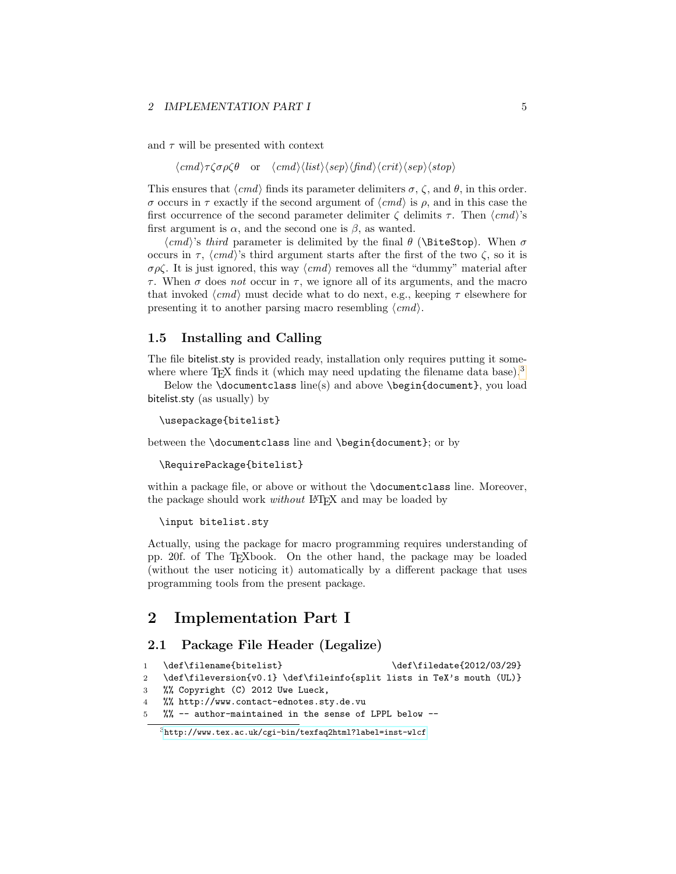#### 2 IMPLEMENTATION PART I 5

and  $\tau$  will be presented with context

 $\langle cmd\rangle\tau\zeta\sigma\rho\zeta\theta$  or  $\langle cmd\rangle\langle list\rangle\langle sep\rangle\langle find\rangle\langle crit\rangle\langle sep\rangle\langle stop\rangle$ 

This ensures that  $\langle cmd \rangle$  finds its parameter delimiters  $\sigma$ ,  $\zeta$ , and  $\theta$ , in this order. σ occurs in τ exactly if the second argument of  $\langle cmd \rangle$  is ρ, and in this case the first occurrence of the second parameter delimiter  $\zeta$  delimits  $\tau$ . Then  $\langle cmd\rangle$ 's first argument is  $\alpha$ , and the second one is  $\beta$ , as wanted.

 $\langle cmd\rangle$ 's third parameter is delimited by the final  $\theta$  (\BiteStop). When  $\sigma$ occurs in  $\tau$ ,  $\langle c\,\rangle$ 's third argument starts after the first of the two  $\zeta$ , so it is  $\sigma \rho \zeta$ . It is just ignored, this way  $\langle c \rangle$  removes all the "dummy" material after τ. When  $\sigma$  does not occur in τ, we ignore all of its arguments, and the macro that invoked  $\langle cmd \rangle$  must decide what to do next, e.g., keeping  $\tau$  elsewhere for presenting it to another parsing macro resembling  $\langle cmd\rangle$ .

### <span id="page-4-0"></span>1.5 Installing and Calling

The file bitelist.sty is provided ready, installation only requires putting it some-where where T<sub>EX</sub> finds it (which may need updating the filename data base).<sup>[3](#page-4-3)</sup>

Below the \documentclass line(s) and above \begin{document}, you load bitelist.sty (as usually) by

```
\usepackage{bitelist}
```
between the \documentclass line and \begin{document}; or by

```
\RequirePackage{bitelist}
```
within a package file, or above or without the \documentclass line. Moreover, the package should work *without* LAT<sub>E</sub>X and may be loaded by

```
\input bitelist.sty
```
Actually, using the package for macro programming requires understanding of pp. 20f. of The TEXbook. On the other hand, the package may be loaded (without the user noticing it) automatically by a different package that uses programming tools from the present package.

# <span id="page-4-1"></span>2 Implementation Part I

# <span id="page-4-2"></span>2.1 Package File Header (Legalize)

```
1 \def\filename{bitelist} \def\filedate{2012/03/29}
```
- 2 \def\fileversion{v0.1} \def\fileinfo{split lists in TeX's mouth (UL)}
- 3 %% Copyright (C) 2012 Uwe Lueck,
- 4 %% http://www.contact-ednotes.sty.de.vu
- 5 %% -- author-maintained in the sense of LPPL below --

<span id="page-4-3"></span><sup>3</sup><http://www.tex.ac.uk/cgi-bin/texfaq2html?label=inst-wlcf>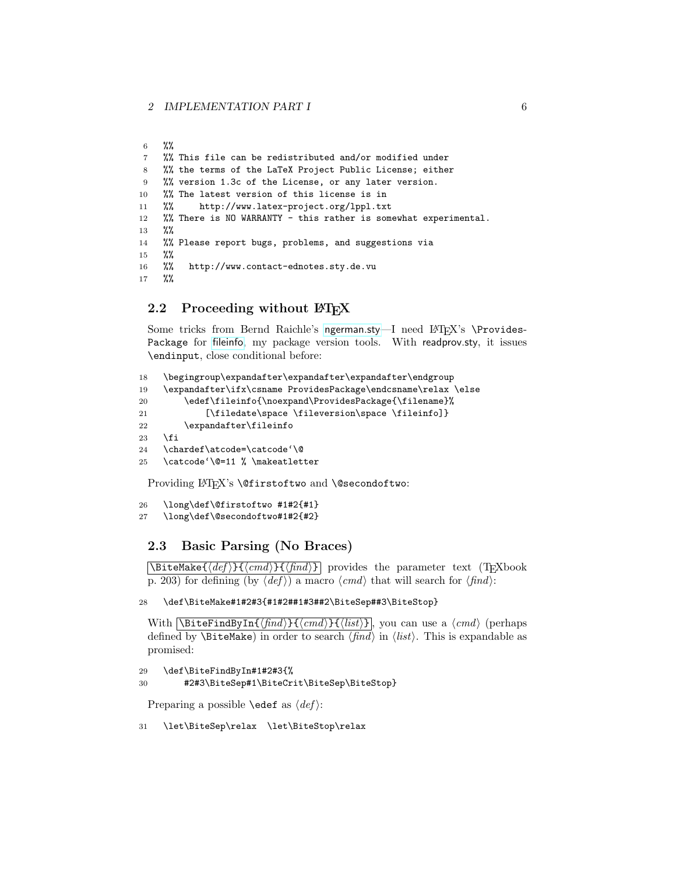```
6 %%
7 %% This file can be redistributed and/or modified under
8 %% the terms of the LaTeX Project Public License; either
9 %% version 1.3c of the License, or any later version.
10 %% The latest version of this license is in
11 %% http://www.latex-project.org/lppl.txt
12 %% There is NO WARRANTY - this rather is somewhat experimental.
13 %%
14 %% Please report bugs, problems, and suggestions via
15 %%
16 %% http://www.contact-ednotes.sty.de.vu
17 %%
```
# <span id="page-5-0"></span>2.2 Proceeding without LAT<sub>EX</sub>

Some tricks from Bernd Raichle's [ngerman.sty](http://ctan.org/pkg/ngerman)—I need  $LAT$ <sub>EX</sub>'s \Provides-Package for [fileinfo](http://ctan.org/pkg/fileinfo), my package version tools. With readprov.sty, it issues \endinput, close conditional before:

```
18 \begingroup\expandafter\expandafter\expandafter\endgroup
19 \expandafter\ifx\csname ProvidesPackage\endcsname\relax \else
20 \edef\fileinfo{\noexpand\ProvidesPackage{\filename}%
21 [\filedate\space \fileversion\space \fileinfo]}
22 \expandafter\fileinfo
23 \ifmmode{\big\vert} \else{ 123 \fi \ifmmode{\big\vert} \else{ 123 \fi \ifmmode{\big\vert} \else{ 123 \fi \ifmmode{\big\vert} \else{ 123 \fi \fi \ifmmode{\big\vert} \else{ 125 \fi \ifmmode{\big\vert} \else{ 125 \fi \fi \ifmmode{\big\vert} \else{ 125 \fi \fi \ifmmode{\big\vert} \else{ 125 \fi \fi \ifmmode{\24 \chardef\atcode=\catcode'\@
25 \catcode'\@=11 % \makeatletter
```
Providing LAT<sub>E</sub>X's **\@firstoftwo** and **\@secondoftwo**:

```
26 \long\def\@firstoftwo #1#2{#1}
```

```
27 \long\def\@secondoftwo#1#2{#2}
```
# <span id="page-5-1"></span>2.3 Basic Parsing (No Braces)

 $\Delta$ BiteMake{ $\langle def \rangle$ }{ $\langle fnd \rangle$ } provides the parameter text (TEXbook p. 203) for defining (by  $\langle def \rangle$ ) a macro  $\langle cmd \rangle$  that will search for  $\langle find \rangle$ :

28 \def\BiteMake#1#2#3{#1#2##1#3##2\BiteSep##3\BiteStop}

With  $\Bbb{I}_{\{ind\}}{\{end\}}$  \BiteFindByIn{ $\{find\}$  \{ $\{crad\}$  \{\list} }|, you can use a  $\langle cmd\rangle$  (perhaps defined by **\BiteMake**) in order to search  $\langle \hat{f} \rangle$  in  $\langle \hat{f} \rangle$ . This is expandable as promised:

```
29 \def\BiteFindByIn#1#2#3{%
30 #2#3\BiteSep#1\BiteCrit\BiteSep\BiteStop}
```
Preparing a possible **\edef** as  $\langle def \rangle$ :

31 \let\BiteSep\relax \let\BiteStop\relax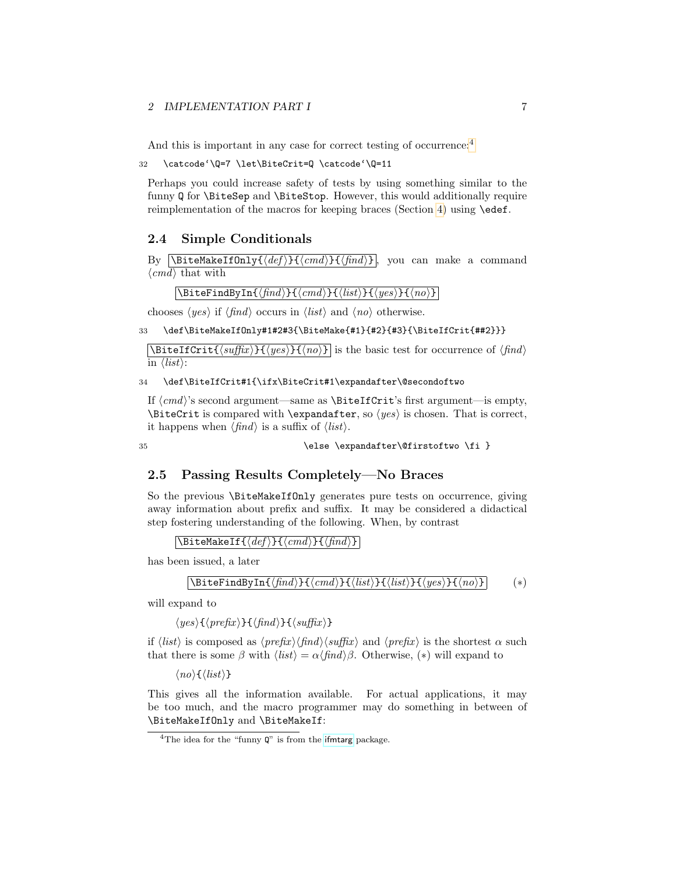#### 2 IMPLEMENTATION PART I 7

And this is important in any case for correct testing of occurrence:<sup>[4](#page-6-2)</sup>

32 \catcode'\Q=7 \let\BiteCrit=Q \catcode'\Q=11

Perhaps you could increase safety of tests by using something similar to the funny Q for \BiteSep and \BiteStop. However, this would additionally require reimplementation of the macros for keeping braces (Section [4\)](#page-8-1) using \edef.

### <span id="page-6-0"></span>2.4 Simple Conditionals

By  $\Delta$ BiteMakeIfOnly{ $\langle def \rangle$ }{ $\langle f \rangle$ } , you can make a command  $\langle cmd \rangle$  that with

 $\overline{\Delta{BiterindByIn}{\langle \text{find}\rangle}\{\langle \text{cmd}\rangle\}\{\langle \text{list}\rangle\}\{\langle \text{yes}\rangle\}\{\langle \text{no}\rangle\}\}}$ 

chooses  $\langle yes \rangle$  if  $\langle find \rangle$  occurs in  $\langle list \rangle$  and  $\langle no \rangle$  otherwise.

33 \def\BiteMakeIfOnly#1#2#3{\BiteMake{#1}{#2}{#3}{\BiteIfCrit{##2}}}

 $\Delta$ BiteIfCrit{ $\langle \text{suffix} \rangle$ }{ $\langle \text{yes} \rangle$ }{ $\langle \text{no} \rangle$ ] is the basic test for occurrence of  $\langle \text{find} \rangle$ in  $\langle list \rangle$ :

34 \def\BiteIfCrit#1{\ifx\BiteCrit#1\expandafter\@secondoftwo

If  $\langle cmd \rangle$ 's second argument—same as \BiteIfCrit's first argument—is empty,  $\B{BiteCrit is compared with \expandafter, so \langle yes \rangle is chosen. That is correct,$ it happens when  $\langle \text{find} \rangle$  is a suffix of  $\langle \text{list} \rangle$ .

35 \else \expandafter\@firstoftwo \fi }

### <span id="page-6-1"></span>2.5 Passing Results Completely—No Braces

So the previous \BiteMakeIfOnly generates pure tests on occurrence, giving away information about prefix and suffix. It may be considered a didactical step fostering understanding of the following. When, by contrast

 $\text{NBitelakeIf}$ { $\langle def \rangle$ }{ $\langle f \rangle$ }{ $\langle f \rangle$ }}

has been issued, a later

$$
\verb|\BiteFindByIn{find}}{cmd}{list}{list}{yes}{not}| (*)
$$
 (\*)

will expand to

 $\langle yes \rangle {\{\langle prefix \rangle\}} {\{\langle \langle \hat{find} \rangle\} \{\langle \hat{suffix} \rangle\}}$ 

if  $\langle list \rangle$  is composed as  $\langle prefix \rangle \langle find \rangle \langle suffix \rangle$  and  $\langle prefix \rangle$  is the shortest  $\alpha$  such that there is some  $\beta$  with  $\langle list \rangle = \alpha \langle find \rangle \beta$ . Otherwise, (\*) will expand to

 $\langle no \rangle \{\langle list \rangle\}$ 

This gives all the information available. For actual applications, it may be too much, and the macro programmer may do something in between of \BiteMakeIfOnly and \BiteMakeIf:

<span id="page-6-2"></span><sup>&</sup>lt;sup>4</sup>The idea for the "funny  $\mathbf{Q}$ " is from the [ifmtarg](http://ctan.org/pkg/ifmtarg) package.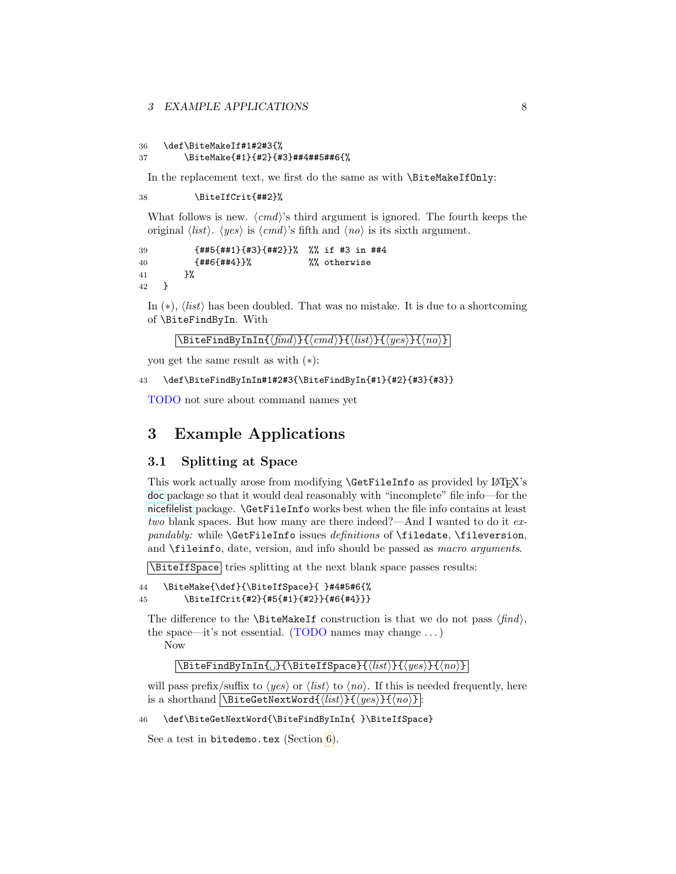```
36 \def\BiteMakeIf#1#2#3{%
37 \BiteMake{#1}{#2}{#3}##4##5##6{%
```
In the replacement text, we first do the same as with \BiteMakeIfOnly:

38 \BiteIfCrit{##2}%

What follows is new.  $\langle cmd \rangle$ 's third argument is ignored. The fourth keeps the original  $\langle list \rangle$ .  $\langle yes \rangle$  is  $\langle cmd \rangle$ 's fifth and  $\langle no \rangle$  is its sixth argument.

```
39 {##5{##1}{#3}{##2}}% %% if #3 in ##4
40 {##6{##4}}% %% otherwise
41 }%
42 }
```
In  $(*)$ ,  $\langle list \rangle$  has been doubled. That was no mistake. It is due to a shortcoming of \BiteFindByIn. With

```
\setminusBiteFindByInIn{\langlefind\rangle}{\langlecmd\rangle}{\langleist\rangle}{\langle yes \rangle}{\langle no \rangle}
```
you get the same result as with (∗):

43 \def\BiteFindByInIn#1#2#3{\BiteFindByIn{#1}{#2}{#3}{#3}}

TODO not sure about command names yet

# <span id="page-7-0"></span>3 Example Applications

### <span id="page-7-1"></span>3.1 Splitting at Space

This work actually arose from modifying **\GetFileInfo** as provided by LATEX's [doc](http://ctan.org/pkg/doc) package so that it would deal reasonably with "incomplete" file info—for the [nicefilelist](http://ctan.org/pkg/nicefilelist) package. \GetFileInfo works best when the file info contains at least two blank spaces. But how many are there indeed?—And I wanted to do it expandably: while \GetFileInfo issues definitions of \filedate, \fileversion, and \fileinfo, date, version, and info should be passed as macro arguments.

 $\Delta$ BiteIfSpace tries splitting at the next blank space passes results:

```
44 \BiteMake{\def}{\BiteIfSpace}{ }#4#5#6{%
45 \BiteIfCrit{#2}{#5{#1}{#2}}{#6{#4}}}
```
The difference to the **\BiteMakeIf** construction is that we do not pass  $\langle \text{find} \rangle$ , the space—it's not essential. (TODO names may change . . . ) Now

#### $\{\Bbb{I} \{\Bbb{I}\}\{\langle \Bbb{I}\} \{\langle \Bbb{I}\} \rangle\}$

will pass prefix/suffix to  $\langle yes \rangle$  or  $\langle list \rangle$  to  $\langle no \rangle$ . If this is needed frequently, here is a shorthand  $\Delta$ BiteGetNextWord $\{ \langle list \rangle\} {\langle yes \rangle\} {\langle no \rangle\}$ :

46 \def\BiteGetNextWord{\BiteFindByInIn{ }\BiteIfSpace}

See a test in bitedemo.tex (Section [6\)](#page-10-1).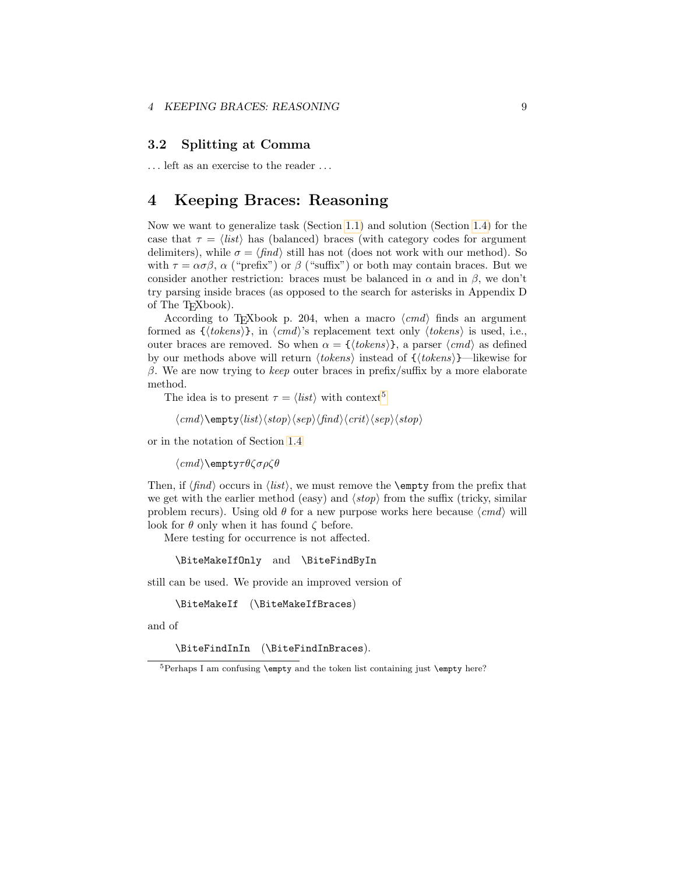### <span id="page-8-0"></span>3.2 Splitting at Comma

. . . left as an exercise to the reader . . .

# <span id="page-8-1"></span>4 Keeping Braces: Reasoning

Now we want to generalize task (Section [1.1\)](#page-1-1) and solution (Section [1.4\)](#page-3-0) for the case that  $\tau = \langle list \rangle$  has (balanced) braces (with category codes for argument delimiters), while  $\sigma = \langle \text{find} \rangle$  still has not (does not work with our method). So with  $\tau = \alpha \sigma \beta$ ,  $\alpha$  ("prefix") or  $\beta$  ("suffix") or both may contain braces. But we consider another restriction: braces must be balanced in  $\alpha$  and in  $\beta$ , we don't try parsing inside braces (as opposed to the search for asterisks in Appendix D of The TEXbook).

According to T<sub>E</sub>Xbook p. 204, when a macro  $\langle cmd \rangle$  finds an argument formed as  $\{\langle tokens\rangle\}$ , in  $\langle cmd\rangle$ 's replacement text only  $\langle tokens\rangle$  is used, i.e., outer braces are removed. So when  $\alpha = \{ \langle tokens \rangle \}$ , a parser  $\langle cmd \rangle$  as defined by our methods above will return  $\langle tokens \rangle$  instead of  ${\langle tokens \rangle}$ —likewise for β. We are now trying to keep outer braces in prefix/suffix by a more elaborate method.

The idea is to present  $\tau = \langle list \rangle$  with context<sup>[5](#page-8-2)</sup>

$$
\langle cmd\rangle\langle\text{empty}\langle list\rangle\langle\text{step}\rangle\langle\text{find}\rangle\langle\text{step}\langle\text{stop}\rangle
$$

or in the notation of Section [1.4](#page-3-0)

 $\langle cmd \rangle$ \empty $\tau \theta \zeta \sigma \rho \zeta \theta$ 

Then, if  $\langle \text{find} \rangle$  occurs in  $\langle \text{list} \rangle$ , we must remove the **\empty** from the prefix that we get with the earlier method (easy) and  $\langle stop \rangle$  from the suffix (tricky, similar problem recurs). Using old  $\theta$  for a new purpose works here because  $\langle cmd \rangle$  will look for  $\theta$  only when it has found  $\zeta$  before.

Mere testing for occurrence is not affected.

\BiteMakeIfOnly and \BiteFindByIn

still can be used. We provide an improved version of

```
\BiteMakeIf (\BiteMakeIfBraces)
```
and of

\BiteFindInIn (\BiteFindInBraces).

<span id="page-8-2"></span> $5$ Perhaps I am confusing \empty and the token list containing just \empty here?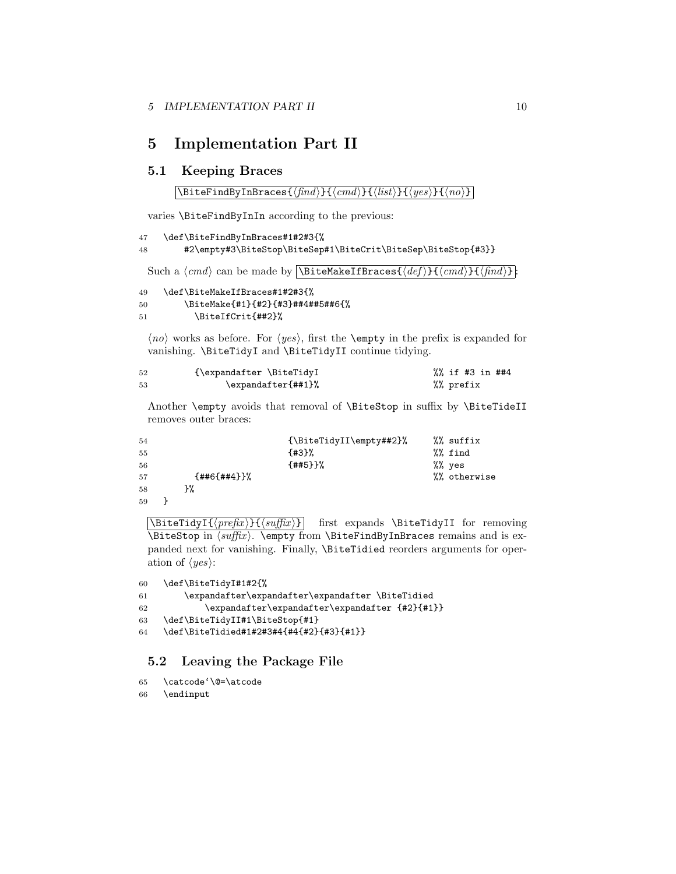# <span id="page-9-0"></span>5 Implementation Part II

# <span id="page-9-1"></span>5.1 Keeping Braces

```
\left\{\Bbb{H}\right\}races\left\{\pmb{\hat{h}nd}\right\}\left\{\pmb{\hat{h}cd}\right\}\left\{\pmb{\hat{h}cd}\right\}
```
varies \BiteFindByInIn according to the previous:

```
47 \def\BiteFindByInBraces#1#2#3{%
48 #2\empty#3\BiteStop\BiteSep#1\BiteCrit\BiteSep\BiteStop{#3}}
```
Such a  $\langle cmd \rangle$  can be made by  $\Delta EIFBraces{\langle def \rangle}{\langle cmd \rangle}{\langle fnd \rangle}.$ 

```
49 \def\BiteMakeIfBraces#1#2#3{%
50 \BiteMake{#1}{#2}{#3}##4##5##6{%
51 \BiteIfCrit{##2}%
```
 $\langle no \rangle$  works as before. For  $\langle yes \rangle$ , first the **\empty** in the prefix is expanded for vanishing. \BiteTidyI and \BiteTidyII continue tidying.

| 52 | {\expandafter \BiteTidyI | %% if #3 in ##4 |  |
|----|--------------------------|-----------------|--|
| 53 | \expandafter{##1}%       | %% prefix       |  |

Another \empty avoids that removal of \BiteStop in suffix by \BiteTideII removes outer braces:

| 54 |              | {\BiteTidyII\empty##2}% | %% suffix    |
|----|--------------|-------------------------|--------------|
| 55 |              | ${43}$                  | %% find      |
| 56 |              | ${4#5}$                 | %% yes       |
| 57 | ${#46{#44}}$ |                         | %% otherwise |
| 58 | ን%           |                         |              |
| 59 |              |                         |              |

 $\Delta \left( \frac{prefix}{\sqrt{keyfix}} \right)$  first expands  $\Delta \left($  first expands in removing \BiteStop in  $\sqrt{\sup f(x)}$ . \empty from \BiteFindByInBraces remains and is expanded next for vanishing. Finally, \BiteTidied reorders arguments for operation of  $\langle yes \rangle$ :

```
60 \def\BiteTidyI#1#2{%
```
61 \expandafter\expandafter\expandafter \BiteTidied

```
62 \expandafter\expandafter\expandafter {#2}{#1}}
```

```
63 \def\BiteTidyII#1\BiteStop{#1}
```

```
64 \def\BiteTidied#1#2#3#4{#4{#2}{#3}{#1}}
```
### <span id="page-9-2"></span>5.2 Leaving the Package File

```
65 \catcode'\@=\atcode
```

```
66 \endinput
```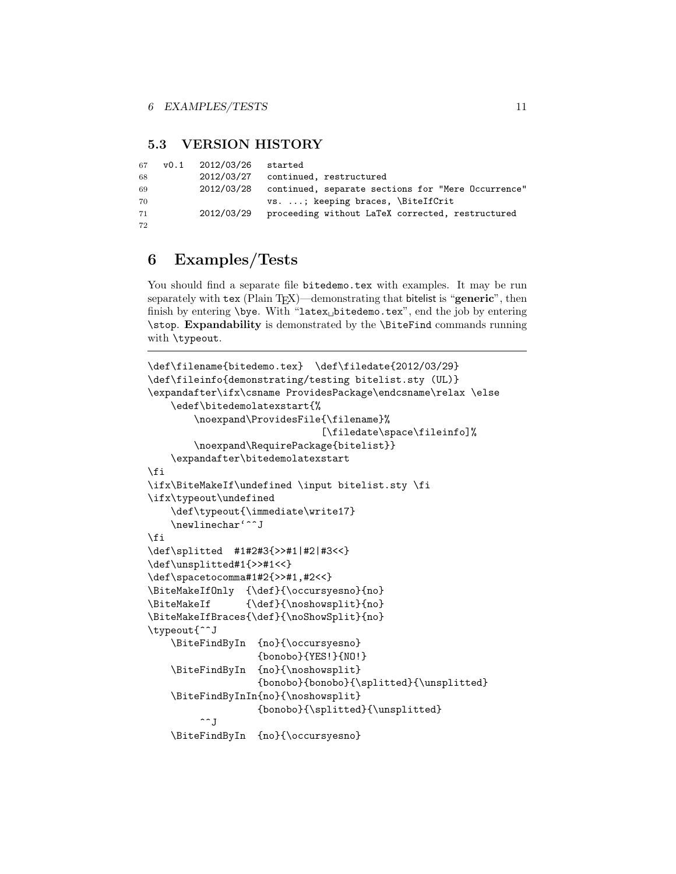# <span id="page-10-0"></span>5.3 VERSION HISTORY

```
67 v0.1 2012/03/26 started
68 2012/03/27 continued, restructured
69 2012/03/28 continued, separate sections for "Mere Occurrence"
70 vs. ...; keeping braces, \BiteIfCrit
71 2012/03/29 proceeding without LaTeX corrected, restructured
72
```
# <span id="page-10-1"></span>6 Examples/Tests

You should find a separate file bitedemo.tex with examples. It may be run separately with tex (Plain T<sub>EX</sub>)—demonstrating that bitelist is "generic", then finish by entering  $\begin{bmatrix} \begin{array}{c} \begin{array}{c} \end{array} \\ \end{bmatrix}$  finish by entering \stop. Expandability is demonstrated by the \BiteFind commands running with \typeout.

```
\def\filename{bitedemo.tex} \def\filedate{2012/03/29}
\def\fileinfo{demonstrating/testing bitelist.sty (UL)}
\expandafter\ifx\csname ProvidesPackage\endcsname\relax \else
    \edef\bitedemolatexstart{%
        \noexpand\ProvidesFile{\filename}%
                              [\filedate\space\fileinfo]%
        \noexpand\RequirePackage{bitelist}}
    \expandafter\bitedemolatexstart
\fi
\ifx\BiteMakeIf\undefined \input bitelist.sty \fi
\ifx\typeout\undefined
    \def\typeout{\immediate\write17}
    \newlinechar'^^J
\fi
\def\splitted #1#2#3{>>#1|#2|#3<<}
\def\unsplitted#1{>>#1<<}
\def\spacetocomma#1#2{>>#1,#2<<}
\BiteMakeIfOnly {\def}{\occursyesno}{no}
\BiteMakeIf {\def}{\noshowsplit}{no}
\BiteMakeIfBraces{\def}{\noShowSplit}{no}
\typeout{^^J
    \BiteFindByIn {no}{\occursyesno}
                   {bonobo}{YES!}{NO!}
    \BiteFindByIn {no}{\noshowsplit}
                   {bonobo}{bonobo}{\splitted}{\unsplitted}
    \BiteFindByInIn{no}{\noshowsplit}
                   {bonobo}{\splitted}{\unsplitted}
         \sim J
    \BiteFindByIn {no}{\occursyesno}
```